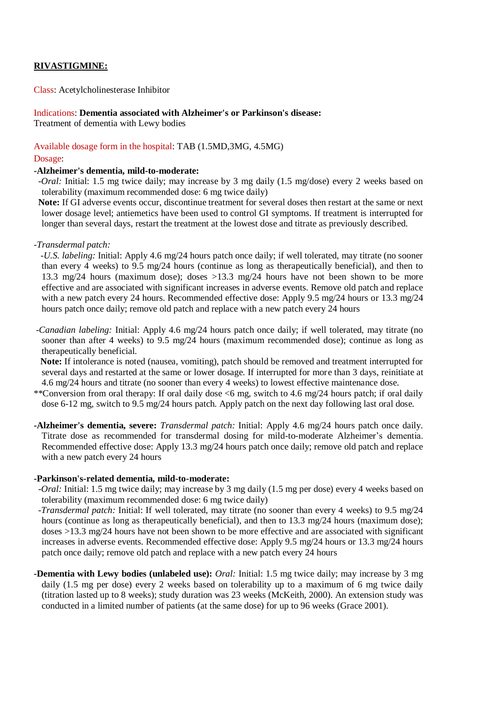# **RIVASTIGMINE:**

Class: Acetylcholinesterase Inhibitor

#### Indications: **Dementia associated with Alzheimer's or Parkinson's disease:**

Treatment of dementia with Lewy bodies

# Available dosage form in the hospital: TAB (1.5MD,3MG, 4.5MG)

#### Dosage:

#### **-Alzheimer's dementia, mild-to-moderate:**

*-Oral:* Initial: 1.5 mg twice daily; may increase by 3 mg daily (1.5 mg/dose) every 2 weeks based on tolerability (maximum recommended dose: 6 mg twice daily)

 **Note:** If GI adverse events occur, discontinue treatment for several doses then restart at the same or next lower dosage level; antiemetics have been used to control GI symptoms. If treatment is interrupted for longer than several days, restart the treatment at the lowest dose and titrate as previously described.

#### *-Transdermal patch:*

 *-U.S. labeling:* Initial: Apply 4.6 mg/24 hours patch once daily; if well tolerated, may titrate (no sooner than every 4 weeks) to 9.5 mg/24 hours (continue as long as therapeutically beneficial), and then to 13.3 mg/24 hours (maximum dose); doses >13.3 mg/24 hours have not been shown to be more effective and are associated with significant increases in adverse events. Remove old patch and replace with a new patch every 24 hours. Recommended effective dose: Apply 9.5 mg/24 hours or 13.3 mg/24 hours patch once daily; remove old patch and replace with a new patch every 24 hours

*-Canadian labeling:* Initial: Apply 4.6 mg/24 hours patch once daily; if well tolerated, may titrate (no sooner than after 4 weeks) to 9.5 mg/24 hours (maximum recommended dose); continue as long as therapeutically beneficial.

 **Note:** If intolerance is noted (nausea, vomiting), patch should be removed and treatment interrupted for several days and restarted at the same or lower dosage. If interrupted for more than 3 days, reinitiate at 4.6 mg/24 hours and titrate (no sooner than every 4 weeks) to lowest effective maintenance dose.

- \*\*Conversion from oral therapy: If oral daily dose <6 mg, switch to 4.6 mg/24 hours patch; if oral daily dose 6-12 mg, switch to 9.5 mg/24 hours patch. Apply patch on the next day following last oral dose.
- **-Alzheimer's dementia, severe:** *Transdermal patch:* Initial: Apply 4.6 mg/24 hours patch once daily. Titrate dose as recommended for transdermal dosing for mild-to-moderate Alzheimer's dementia. Recommended effective dose: Apply 13.3 mg/24 hours patch once daily; remove old patch and replace with a new patch every 24 hours

#### **-Parkinson's-related dementia, mild-to-moderate:**

- *-Oral:* Initial: 1.5 mg twice daily; may increase by 3 mg daily (1.5 mg per dose) every 4 weeks based on tolerability (maximum recommended dose: 6 mg twice daily)
- *-Transdermal patch:* Initial: If well tolerated, may titrate (no sooner than every 4 weeks) to 9.5 mg/24 hours (continue as long as therapeutically beneficial), and then to 13.3 mg/24 hours (maximum dose); doses >13.3 mg/24 hours have not been shown to be more effective and are associated with significant increases in adverse events. Recommended effective dose: Apply 9.5 mg/24 hours or 13.3 mg/24 hours patch once daily; remove old patch and replace with a new patch every 24 hours
- **-Dementia with Lewy bodies (unlabeled use):** *Oral:* Initial: 1.5 mg twice daily; may increase by 3 mg daily (1.5 mg per dose) every 2 weeks based on tolerability up to a maximum of 6 mg twice daily (titration lasted up to 8 weeks); study duration was 23 weeks (McKeith, 2000). An extension study was conducted in a limited number of patients (at the same dose) for up to 96 weeks (Grace 2001).